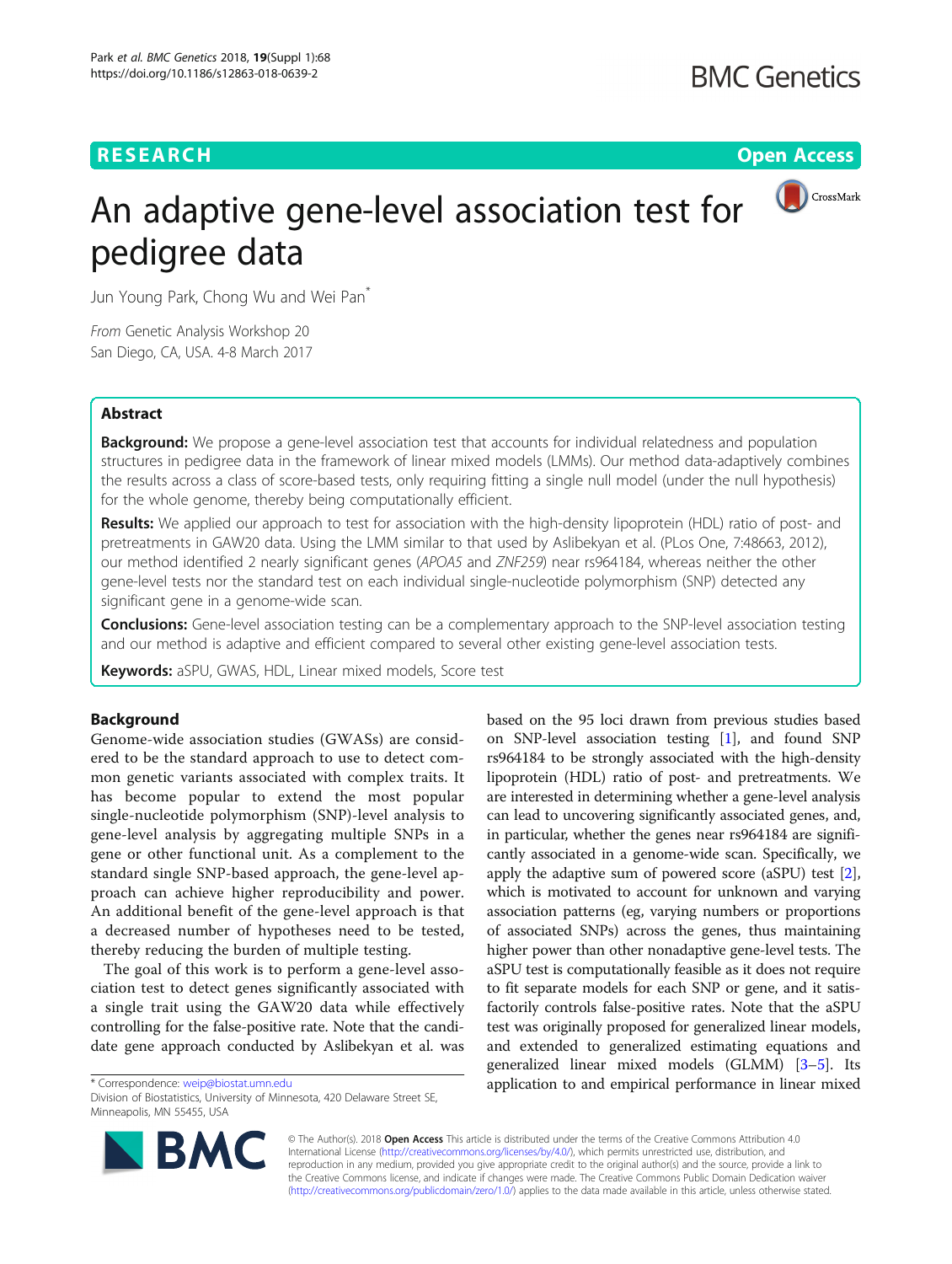# **RESEARCH CHINESE ARCH CHINESE ARCHITECT AND ACCESS**



# An adaptive gene-level association test for pedigree data

Jun Young Park, Chong Wu and Wei Pan\*

From Genetic Analysis Workshop 20 San Diego, CA, USA. 4-8 March 2017

# Abstract

**Background:** We propose a gene-level association test that accounts for individual relatedness and population structures in pedigree data in the framework of linear mixed models (LMMs). Our method data-adaptively combines the results across a class of score-based tests, only requiring fitting a single null model (under the null hypothesis) for the whole genome, thereby being computationally efficient.

Results: We applied our approach to test for association with the high-density lipoprotein (HDL) ratio of post- and pretreatments in GAW20 data. Using the LMM similar to that used by Aslibekyan et al. (PLos One, 7:48663, 2012), our method identified 2 nearly significant genes (APOA5 and ZNF259) near rs964184, whereas neither the other gene-level tests nor the standard test on each individual single-nucleotide polymorphism (SNP) detected any significant gene in a genome-wide scan.

**Conclusions:** Gene-level association testing can be a complementary approach to the SNP-level association testing and our method is adaptive and efficient compared to several other existing gene-level association tests.

Keywords: aSPU, GWAS, HDL, Linear mixed models, Score test

# Background

Genome-wide association studies (GWASs) are considered to be the standard approach to use to detect common genetic variants associated with complex traits. It has become popular to extend the most popular single-nucleotide polymorphism (SNP)-level analysis to gene-level analysis by aggregating multiple SNPs in a gene or other functional unit. As a complement to the standard single SNP-based approach, the gene-level approach can achieve higher reproducibility and power. An additional benefit of the gene-level approach is that a decreased number of hypotheses need to be tested, thereby reducing the burden of multiple testing.

The goal of this work is to perform a gene-level association test to detect genes significantly associated with a single trait using the GAW20 data while effectively controlling for the false-positive rate. Note that the candidate gene approach conducted by Aslibekyan et al. was

Division of Biostatistics, University of Minnesota, 420 Delaware Street SE, Minneapolis, MN 55455, USA

based on the 95 loci drawn from previous studies based on SNP-level association testing [\[1](#page-4-0)], and found SNP rs964184 to be strongly associated with the high-density lipoprotein (HDL) ratio of post- and pretreatments. We are interested in determining whether a gene-level analysis can lead to uncovering significantly associated genes, and, in particular, whether the genes near rs964184 are significantly associated in a genome-wide scan. Specifically, we apply the adaptive sum of powered score (aSPU) test [[2](#page-4-0)], which is motivated to account for unknown and varying association patterns (eg, varying numbers or proportions of associated SNPs) across the genes, thus maintaining higher power than other nonadaptive gene-level tests. The aSPU test is computationally feasible as it does not require to fit separate models for each SNP or gene, and it satisfactorily controls false-positive rates. Note that the aSPU test was originally proposed for generalized linear models, and extended to generalized estimating equations and generalized linear mixed models (GLMM) [[3](#page-4-0)–[5](#page-4-0)]. Its \* Correspondence: [weip@biostat.umn.edu](mailto:weip@biostat.umn.edu) application to and empirical performance in linear mixed



© The Author(s). 2018 Open Access This article is distributed under the terms of the Creative Commons Attribution 4.0 International License [\(http://creativecommons.org/licenses/by/4.0/](http://creativecommons.org/licenses/by/4.0/)), which permits unrestricted use, distribution, and reproduction in any medium, provided you give appropriate credit to the original author(s) and the source, provide a link to the Creative Commons license, and indicate if changes were made. The Creative Commons Public Domain Dedication waiver [\(http://creativecommons.org/publicdomain/zero/1.0/](http://creativecommons.org/publicdomain/zero/1.0/)) applies to the data made available in this article, unless otherwise stated.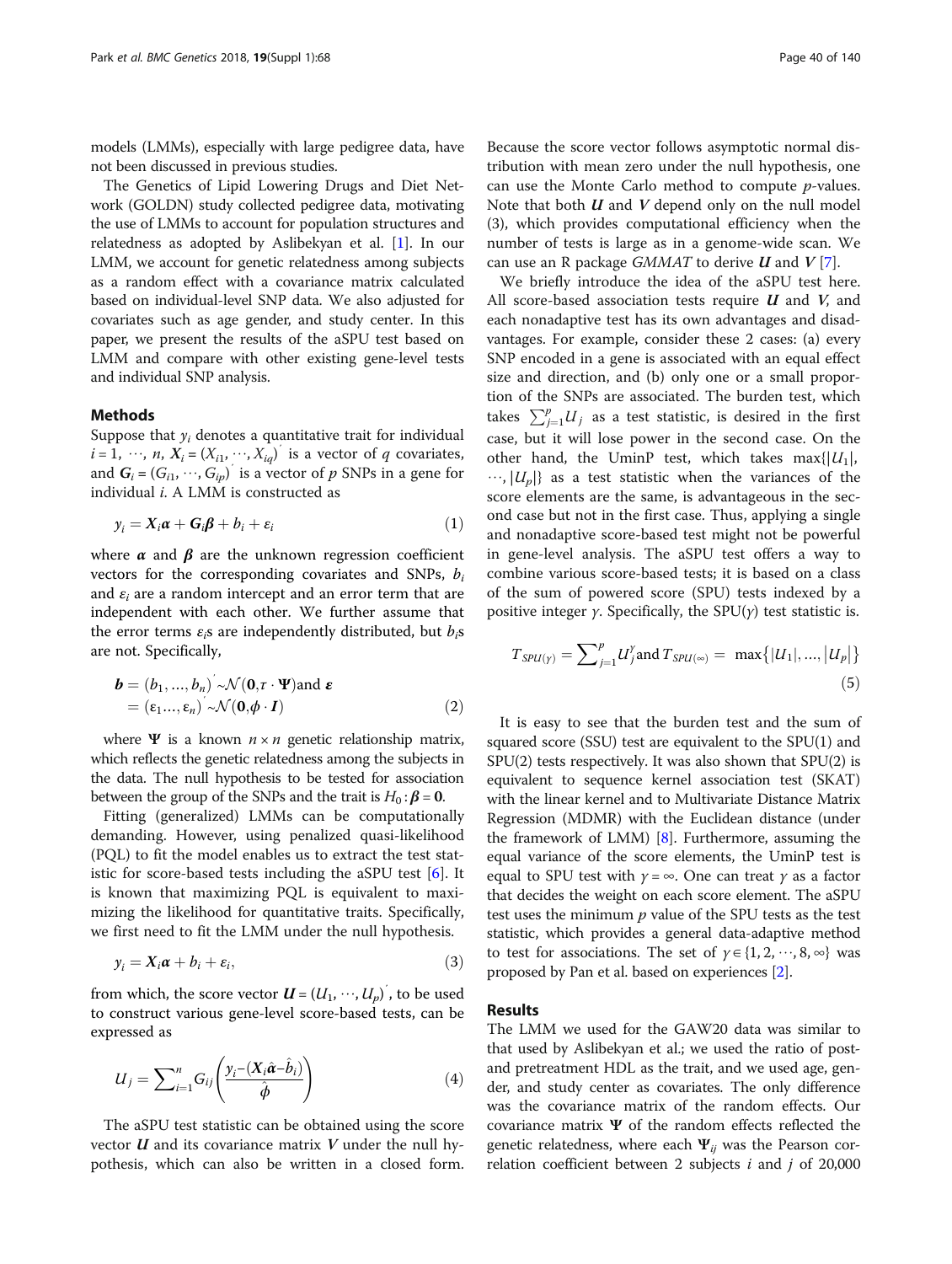models (LMMs), especially with large pedigree data, have not been discussed in previous studies.

The Genetics of Lipid Lowering Drugs and Diet Network (GOLDN) study collected pedigree data, motivating the use of LMMs to account for population structures and relatedness as adopted by Aslibekyan et al. [\[1](#page-4-0)]. In our LMM, we account for genetic relatedness among subjects as a random effect with a covariance matrix calculated based on individual-level SNP data. We also adjusted for covariates such as age gender, and study center. In this paper, we present the results of the aSPU test based on LMM and compare with other existing gene-level tests and individual SNP analysis.

### Methods

Suppose that  $y_i$  denotes a quantitative trait for individual  $i = 1, \dots, n$ ,  $X_i = (X_{i1}, \dots, X_{iq})$  is a vector of q covariates, and  $G_i = (G_{i1}, \dots, G_{ip})^T$  is a vector of p SNPs in a gene for individual i. A LMM is constructed as

$$
y_i = X_i \boldsymbol{\alpha} + \boldsymbol{G}_i \boldsymbol{\beta} + b_i + \varepsilon_i
$$
\n(1)

where  $\alpha$  and  $\beta$  are the unknown regression coefficient vectors for the corresponding covariates and SNPs,  $b_i$ and  $\varepsilon_i$  are a random intercept and an error term that are independent with each other. We further assume that the error terms  $\varepsilon_i$ s are independently distributed, but  $b_i$ s are not. Specifically,

$$
\mathbf{b} = (b_1, ..., b_n) \sim \mathcal{N}(\mathbf{0}, \tau \cdot \mathbf{\Psi}) \text{ and } \boldsymbol{\varepsilon}
$$
  
=  $(\varepsilon_1 ..., \varepsilon_n) \sim \mathcal{N}(\mathbf{0}, \boldsymbol{\phi} \cdot \mathbf{I})$  (2)

where  $\Psi$  is a known  $n \times n$  genetic relationship matrix, which reflects the genetic relatedness among the subjects in the data. The null hypothesis to be tested for association between the group of the SNPs and the trait is  $H_0: \beta = 0$ .

Fitting (generalized) LMMs can be computationally demanding. However, using penalized quasi-likelihood (PQL) to fit the model enables us to extract the test statistic for score-based tests including the aSPU test [\[6](#page-4-0)]. It is known that maximizing PQL is equivalent to maximizing the likelihood for quantitative traits. Specifically, we first need to fit the LMM under the null hypothesis.

$$
y_i = X_i \boldsymbol{\alpha} + b_i + \varepsilon_i, \tag{3}
$$

from which, the score vector  $\boldsymbol{U}$  =  $(U_1,\,\cdots\!,U_p)^{'}$ , to be used to construct various gene-level score-based tests, can be expressed as

$$
U_j = \sum_{i=1}^n G_{ij} \left( \frac{y_i - (X_i \hat{\alpha} - \hat{b}_i)}{\hat{\phi}} \right) \tag{4}
$$

The aSPU test statistic can be obtained using the score vector  $U$  and its covariance matrix  $V$  under the null hypothesis, which can also be written in a closed form.

Because the score vector follows asymptotic normal distribution with mean zero under the null hypothesis, one can use the Monte Carlo method to compute p-values. Note that both  $U$  and  $V$  depend only on the null model (3), which provides computational efficiency when the number of tests is large as in a genome-wide scan. We can use an R package  $GMMAT$  to derive  $U$  and  $V$  [[7\]](#page-4-0).

We briefly introduce the idea of the aSPU test here. All score-based association tests require  $U$  and  $V$ , and each nonadaptive test has its own advantages and disadvantages. For example, consider these 2 cases: (a) every SNP encoded in a gene is associated with an equal effect size and direction, and (b) only one or a small proportion of the SNPs are associated. The burden test, which takes  $\sum_{j=1}^{p} U_j$  as a test statistic, is desired in the first case, but it will lose power in the second case. On the other hand, the UminP test, which takes max $\{U_1\}$ ,  $\cdots$ ,  $|U_p|$  as a test statistic when the variances of the score elements are the same, is advantageous in the second case but not in the first case. Thus, applying a single and nonadaptive score-based test might not be powerful in gene-level analysis. The aSPU test offers a way to combine various score-based tests; it is based on a class of the sum of powered score (SPU) tests indexed by a positive integer  $\gamma$ . Specifically, the SPU( $\gamma$ ) test statistic is.

$$
T_{SPU(y)} = \sum_{j=1}^{p} U_j^{\gamma} \text{ and } T_{SPU(\infty)} = \max\{|U_1|, ..., |U_p|\}
$$
\n(5)

It is easy to see that the burden test and the sum of squared score (SSU) test are equivalent to the SPU(1) and SPU(2) tests respectively. It was also shown that SPU(2) is equivalent to sequence kernel association test (SKAT) with the linear kernel and to Multivariate Distance Matrix Regression (MDMR) with the Euclidean distance (under the framework of LMM)  $[8]$  $[8]$  $[8]$ . Furthermore, assuming the equal variance of the score elements, the UminP test is equal to SPU test with  $\gamma = \infty$ . One can treat  $\gamma$  as a factor that decides the weight on each score element. The aSPU test uses the minimum  $p$  value of the SPU tests as the test statistic, which provides a general data-adaptive method to test for associations. The set of  $\gamma \in \{1, 2, \dots, 8, \infty\}$  was proposed by Pan et al. based on experiences [\[2\]](#page-4-0).

# Results

The LMM we used for the GAW20 data was similar to that used by Aslibekyan et al.; we used the ratio of postand pretreatment HDL as the trait, and we used age, gender, and study center as covariates. The only difference was the covariance matrix of the random effects. Our covariance matrix Ψ of the random effects reflected the genetic relatedness, where each  $\Psi_{ij}$  was the Pearson correlation coefficient between 2 subjects  $i$  and  $j$  of 20,000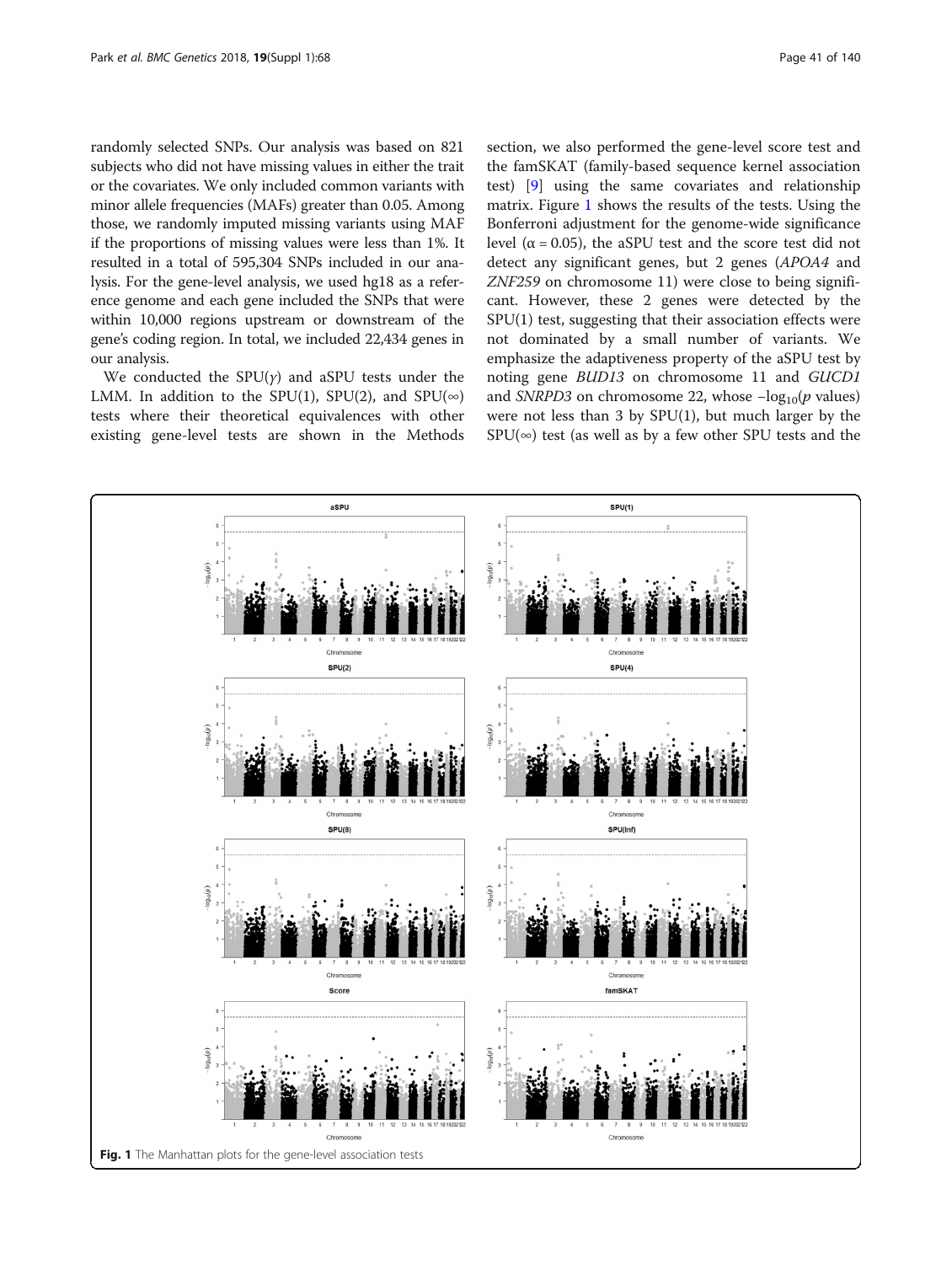randomly selected SNPs. Our analysis was based on 821 subjects who did not have missing values in either the trait or the covariates. We only included common variants with minor allele frequencies (MAFs) greater than 0.05. Among those, we randomly imputed missing variants using MAF if the proportions of missing values were less than 1%. It resulted in a total of 595,304 SNPs included in our analysis. For the gene-level analysis, we used hg18 as a reference genome and each gene included the SNPs that were within 10,000 regions upstream or downstream of the gene's coding region. In total, we included 22,434 genes in our analysis.

We conducted the  $SPU(y)$  and aSPU tests under the LMM. In addition to the SPU(1), SPU(2), and SPU( $\infty$ ) tests where their theoretical equivalences with other existing gene-level tests are shown in the Methods section, we also performed the gene-level score test and the famSKAT (family-based sequence kernel association test) [\[9](#page-4-0)] using the same covariates and relationship matrix. Figure 1 shows the results of the tests. Using the Bonferroni adjustment for the genome-wide significance level ( $α = 0.05$ ), the aSPU test and the score test did not detect any significant genes, but 2 genes (APOA4 and ZNF259 on chromosome 11) were close to being significant. However, these 2 genes were detected by the SPU(1) test, suggesting that their association effects were not dominated by a small number of variants. We emphasize the adaptiveness property of the aSPU test by noting gene BUD13 on chromosome 11 and GUCD1 and *SNRPD3* on chromosome 22, whose  $-\log_{10}(p \text{ values})$ were not less than 3 by SPU(1), but much larger by the  $SPU(\infty)$  test (as well as by a few other SPU tests and the

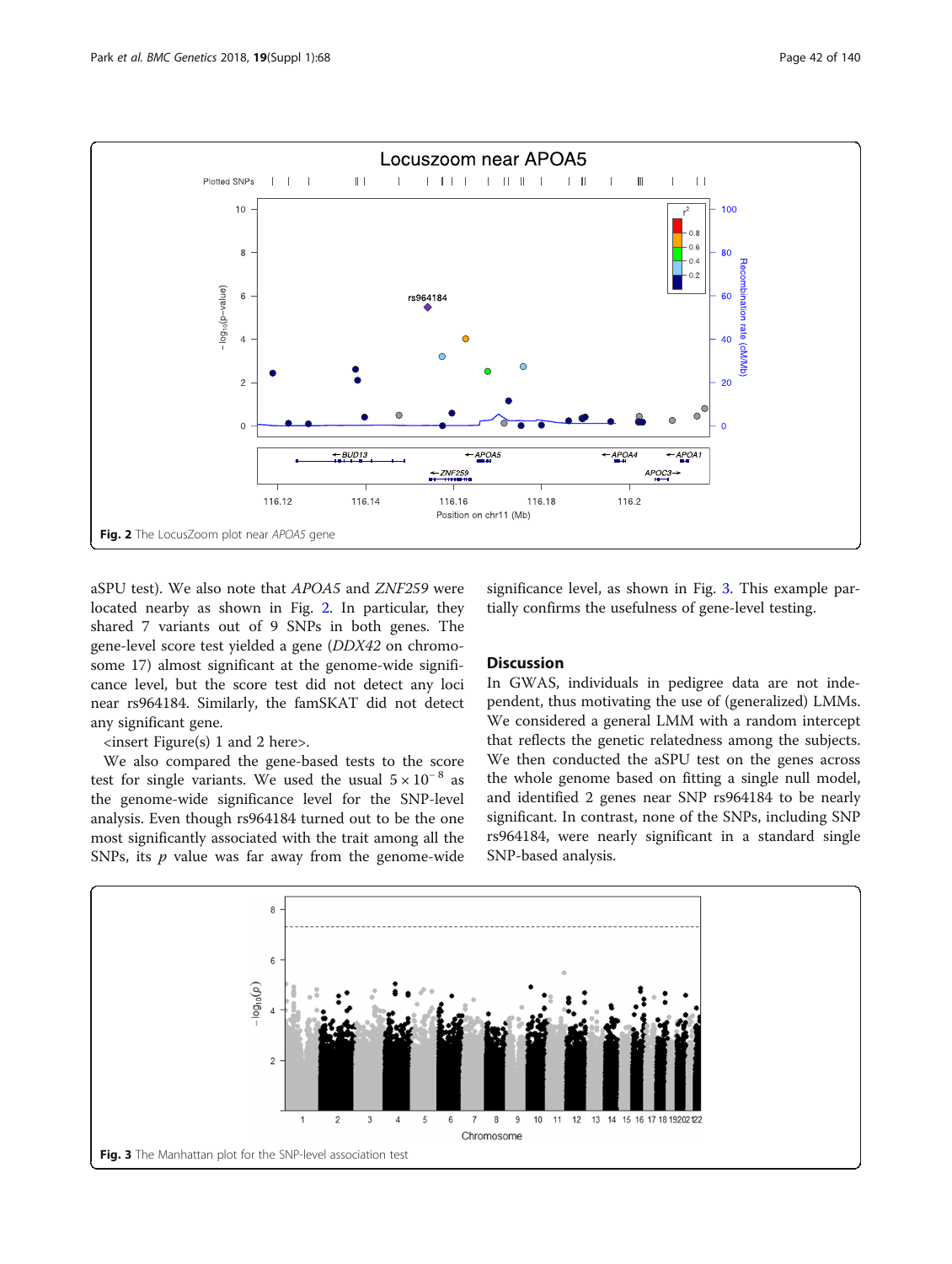

aSPU test). We also note that APOA5 and ZNF259 were located nearby as shown in Fig. 2. In particular, they shared 7 variants out of 9 SNPs in both genes. The gene-level score test yielded a gene (DDX42 on chromosome 17) almost significant at the genome-wide significance level, but the score test did not detect any loci near rs964184. Similarly, the famSKAT did not detect any significant gene.

<insert Figure(s) 1 and 2 here>.

We also compared the gene-based tests to the score test for single variants. We used the usual  $5 \times 10^{-8}$  as the genome-wide significance level for the SNP-level analysis. Even though rs964184 turned out to be the one most significantly associated with the trait among all the SNPs, its  $p$  value was far away from the genome-wide significance level, as shown in Fig. 3. This example partially confirms the usefulness of gene-level testing.

# **Discussion**

In GWAS, individuals in pedigree data are not independent, thus motivating the use of (generalized) LMMs. We considered a general LMM with a random intercept that reflects the genetic relatedness among the subjects. We then conducted the aSPU test on the genes across the whole genome based on fitting a single null model, and identified 2 genes near SNP rs964184 to be nearly significant. In contrast, none of the SNPs, including SNP rs964184, were nearly significant in a standard single SNP-based analysis.